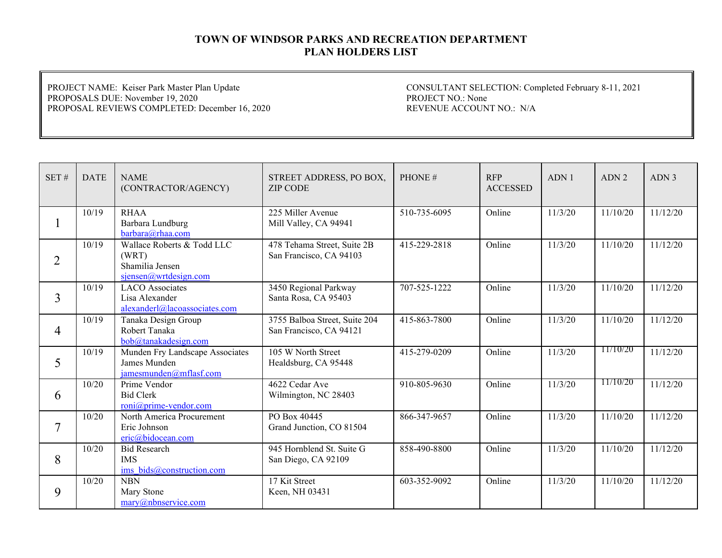PROJECT NAME: Keiser Park Master Plan Update PROPOSALS DUE: November 19, 2020 PROPOSAL REVIEWS COMPLETED: December 16, 2020

| SET#           | <b>DATE</b> | <b>NAME</b><br>(CONTRACTOR/AGENCY)                                              | STREET ADDRESS, PO BOX,<br><b>ZIP CODE</b>               | PHONE#       | <b>RFP</b><br><b>ACCESSED</b> | ADN1    | ADN <sub>2</sub>      | ADN <sub>3</sub> |
|----------------|-------------|---------------------------------------------------------------------------------|----------------------------------------------------------|--------------|-------------------------------|---------|-----------------------|------------------|
|                | 10/19       | <b>RHAA</b><br>Barbara Lundburg<br>barbara@rhaa.com                             | 225 Miller Avenue<br>Mill Valley, CA 94941               | 510-735-6095 | Online                        | 11/3/20 | 11/10/20              | 11/12/20         |
| $\overline{2}$ | 10/19       | Wallace Roberts & Todd LLC<br>(WRT)<br>Shamilia Jensen<br>sjensen@wrtdesign.com | 478 Tehama Street, Suite 2B<br>San Francisco, CA 94103   | 415-229-2818 | Online                        | 11/3/20 | 11/10/20              | 11/12/20         |
| 3              | 10/19       | <b>LACO</b> Associates<br>Lisa Alexander<br>alexanderl@lacoassociates.com       | 3450 Regional Parkway<br>Santa Rosa, CA 95403            | 707-525-1222 | Online                        | 11/3/20 | 11/10/20              | 11/12/20         |
| 4              | 10/19       | Tanaka Design Group<br>Robert Tanaka<br>bob@tanakadesign.com                    | 3755 Balboa Street, Suite 204<br>San Francisco, CA 94121 | 415-863-7800 | Online                        | 11/3/20 | 11/10/20              | 11/12/20         |
| 5              | 10/19       | Munden Fry Landscape Associates<br>James Munden<br>jamesmunden@mflasf.com       | 105 W North Street<br>Healdsburg, CA 95448               | 415-279-0209 | Online                        | 11/3/20 | 11/10/20              | 11/12/20         |
| 6              | 10/20       | Prime Vendor<br><b>Bid Clerk</b><br>roni@prime-vendor.com                       | 4622 Cedar Ave<br>Wilmington, NC 28403                   | 910-805-9630 | Online                        | 11/3/20 | 11/10/20              | 11/12/20         |
| $\overline{7}$ | 10/20       | North America Procurement<br>Eric Johnson<br>eric@bidocean.com                  | PO Box 40445<br>Grand Junction, CO 81504                 | 866-347-9657 | Online                        | 11/3/20 | 11/10/20              | 11/12/20         |
| 8              | 10/20       | <b>Bid Research</b><br><b>IMS</b><br>ims bids@construction.com                  | 945 Hornblend St. Suite G<br>San Diego, CA 92109         | 858-490-8800 | Online                        | 11/3/20 | $\frac{1}{11}{10/20}$ | 11/12/20         |
| 9              | 10/20       | <b>NBN</b><br>Mary Stone<br>$\text{marv@n}$ hbnservice.com                      | 17 Kit Street<br>Keen, NH 03431                          | 603-352-9092 | Online                        | 11/3/20 | 11/10/20              | 11/12/20         |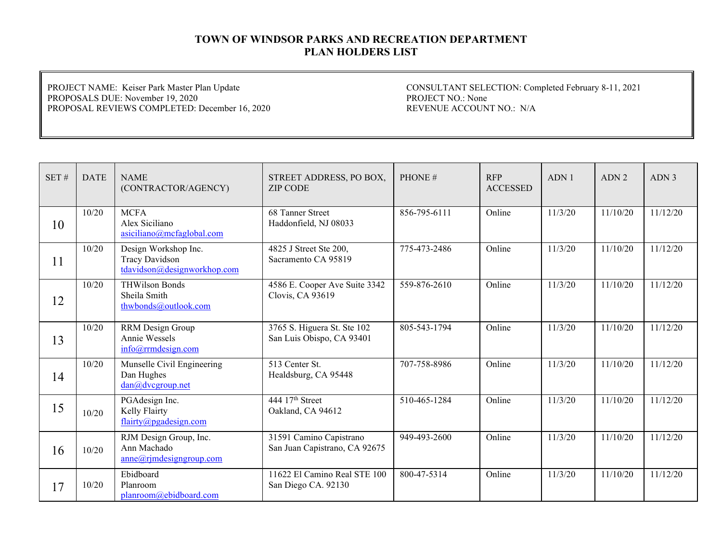PROJECT NAME: Keiser Park Master Plan Update PROPOSALS DUE: November 19, 2020 PROPOSAL REVIEWS COMPLETED: December 16, 2020

| SET# | <b>DATE</b> | <b>NAME</b><br>(CONTRACTOR/AGENCY)                                           | STREET ADDRESS, PO BOX,<br><b>ZIP CODE</b>               | PHONE#       | <b>RFP</b><br><b>ACCESSED</b> | ADN <sub>1</sub> | ADN <sub>2</sub> | ADN <sub>3</sub> |
|------|-------------|------------------------------------------------------------------------------|----------------------------------------------------------|--------------|-------------------------------|------------------|------------------|------------------|
| 10   | 10/20       | <b>MCFA</b><br>Alex Siciliano<br>$a$ siciliano@mcfaglobal.com                | 68 Tanner Street<br>Haddonfield, NJ 08033                | 856-795-6111 | Online                        | 11/3/20          | 11/10/20         | 11/12/20         |
| 11   | 10/20       | Design Workshop Inc.<br><b>Tracy Davidson</b><br>tdavidson@designworkhop.com | 4825 J Street Ste 200,<br>Sacramento CA 95819            | 775-473-2486 | Online                        | 11/3/20          | 11/10/20         | 11/12/20         |
| 12   | 10/20       | <b>THWilson Bonds</b><br>Sheila Smith<br>thwbonds@outlook.com                | 4586 E. Cooper Ave Suite 3342<br>Clovis, CA 93619        | 559-876-2610 | Online                        | 11/3/20          | 11/10/20         | 11/12/20         |
| 13   | 10/20       | RRM Design Group<br>Annie Wessels<br>info@rrmdesign.com                      | 3765 S. Higuera St. Ste 102<br>San Luis Obispo, CA 93401 | 805-543-1794 | Online                        | 11/3/20          | 11/10/20         | 11/12/20         |
| 14   | 10/20       | Munselle Civil Engineering<br>Dan Hughes<br>dan@dvcgroup.net                 | 513 Center St.<br>Healdsburg, CA 95448                   | 707-758-8986 | Online                        | 11/3/20          | 11/10/20         | 11/12/20         |
| 15   | 10/20       | PGAdesign Inc.<br>Kelly Flairty<br>flairty@pgadesign.com                     | 444 17th Street<br>Oakland, CA 94612                     | 510-465-1284 | Online                        | 11/3/20          | 11/10/20         | 11/12/20         |
| 16   | 10/20       | RJM Design Group, Inc.<br>Ann Machado<br>$anne@r$ jmdesigngroup.com          | 31591 Camino Capistrano<br>San Juan Capistrano, CA 92675 | 949-493-2600 | Online                        | 11/3/20          | 11/10/20         | 11/12/20         |
| 17   | 10/20       | Ebidboard<br>Planroom<br>planroom@ebidboard.com                              | 11622 El Camino Real STE 100<br>San Diego CA. 92130      | 800-47-5314  | Online                        | 11/3/20          | 11/10/20         | 11/12/20         |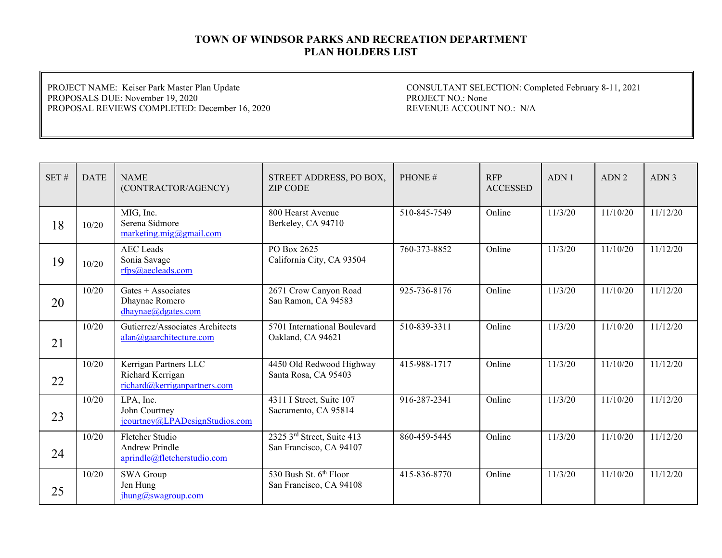PROJECT NAME: Keiser Park Master Plan Update PROPOSALS DUE: November 19, 2020 PROPOSAL REVIEWS COMPLETED: December 16, 2020

| SET# | <b>DATE</b> | <b>NAME</b><br>(CONTRACTOR/AGENCY)                                        | STREET ADDRESS, PO BOX,<br><b>ZIP CODE</b>                          | PHONE#       | <b>RFP</b><br><b>ACCESSED</b> | ADN1    | ADN <sub>2</sub> | ADN <sub>3</sub> |
|------|-------------|---------------------------------------------------------------------------|---------------------------------------------------------------------|--------------|-------------------------------|---------|------------------|------------------|
| 18   | 10/20       | MIG, Inc.<br>Serena Sidmore<br>marketing.mig@gmail.com                    | 800 Hearst Avenue<br>Berkeley, CA 94710                             | 510-845-7549 | Online                        | 11/3/20 | 11/10/20         | 11/12/20         |
| 19   | 10/20       | <b>AEC</b> Leads<br>Sonia Savage<br>rfps@aecleads.com                     | PO Box 2625<br>California City, CA 93504                            | 760-373-8852 | Online                        | 11/3/20 | 11/10/20         | 11/12/20         |
| 20   | 10/20       | Gates $+$ Associates<br>Dhaynae Romero<br>dhaynae@dgates.com              | 2671 Crow Canyon Road<br>San Ramon, CA 94583                        | 925-736-8176 | Online                        | 11/3/20 | 11/10/20         | 11/12/20         |
| 21   | 10/20       | Gutierrez/Associates Architects<br>alan@gaarchitecture.com                | 5701 International Boulevard<br>Oakland, CA 94621                   | 510-839-3311 | Online                        | 11/3/20 | 11/10/20         | 11/12/20         |
| 22   | 10/20       | Kerrigan Partners LLC<br>Richard Kerrigan<br>richard@kerriganpartners.com | 4450 Old Redwood Highway<br>Santa Rosa, CA 95403                    | 415-988-1717 | Online                        | 11/3/20 | 11/10/20         | 11/12/20         |
| 23   | 10/20       | LPA, Inc.<br>John Courtney<br>jcourtney@LPADesignStudios.com              | 4311 I Street, Suite 107<br>Sacramento, CA 95814                    | 916-287-2341 | Online                        | 11/3/20 | 11/10/20         | 11/12/20         |
| 24   | 10/20       | Fletcher Studio<br><b>Andrew Prindle</b><br>aprindle@fletcherstudio.com   | $2325$ 3 <sup>rd</sup> Street, Suite 413<br>San Francisco, CA 94107 | 860-459-5445 | Online                        | 11/3/20 | 11/10/20         | 11/12/20         |
| 25   | 10/20       | SWA Group<br>Jen Hung<br>jhung@swagroup.com                               | 530 Bush St. 6th Floor<br>San Francisco, CA 94108                   | 415-836-8770 | Online                        | 11/3/20 | 11/10/20         | 11/12/20         |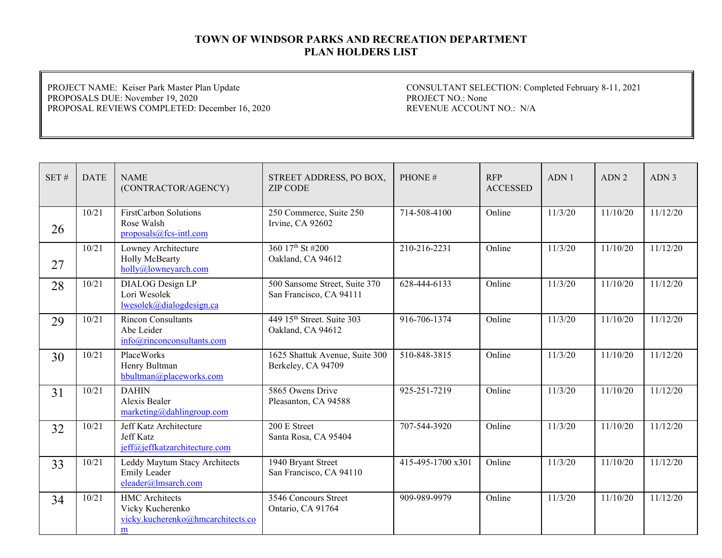PROJECT NAME: Keiser Park Master Plan Update PROPOSALS DUE: November 19, 2020 PROPOSAL REVIEWS COMPLETED: December 16, 2020

| SET# | <b>DATE</b> | <b>NAME</b><br>(CONTRACTOR/AGENCY)                                                  | STREET ADDRESS, PO BOX,<br><b>ZIP CODE</b>               | PHONE#            | <b>RFP</b><br><b>ACCESSED</b> | ADN 1   | ADN <sub>2</sub> | ADN 3    |
|------|-------------|-------------------------------------------------------------------------------------|----------------------------------------------------------|-------------------|-------------------------------|---------|------------------|----------|
| 26   | 10/21       | FirstCarbon Solutions<br>Rose Walsh<br>$proposals@fcs-intl.com$                     | 250 Commerce, Suite 250<br>Irvine, CA 92602              | 714-508-4100      | Online                        | 11/3/20 | 11/10/20         | 11/12/20 |
| 27   | 10/21       | Lowney Architecture<br>Holly McBearty<br>holly@lowneyarch.com                       | 360 17th St #200<br>Oakland, CA 94612                    | 210-216-2231      | Online                        | 11/3/20 | 11/10/20         | 11/12/20 |
| 28   | 10/21       | DIALOG Design LP<br>Lori Wesolek<br>lwesolek@dialogdesign.ca                        | 500 Sansome Street, Suite 370<br>San Francisco, CA 94111 | 628-444-6133      | Online                        | 11/3/20 | 11/10/20         | 11/12/20 |
| 29   | 10/21       | <b>Rincon Consultants</b><br>Abe Leider<br>info@rinconconsultants.com               | 449 15th Street. Suite 303<br>Oakland, CA 94612          | 916-706-1374      | Online                        | 11/3/20 | 11/10/20         | 11/12/20 |
| 30   | 10/21       | PlaceWorks<br>Henry Bultman<br>hbultman@placeworks.com                              | 1625 Shattuk Avenue, Suite 300<br>Berkeley, CA 94709     | 510-848-3815      | Online                        | 11/3/20 | 11/10/20         | 11/12/20 |
| 31   | 10/21       | <b>DAHIN</b><br>Alexis Bealer<br>$marketing$ @dahlingroup.com                       | 5865 Owens Drive<br>Pleasanton, CA 94588                 | 925-251-7219      | Online                        | 11/3/20 | 11/10/20         | 11/12/20 |
| 32   | 10/21       | Jeff Katz Architecture<br><b>Jeff Katz</b><br>jeff@jeffkatzarchitecture.com         | 200 E Street<br>Santa Rosa, CA 95404                     | 707-544-3920      | Online                        | 11/3/20 | 11/10/20         | 11/12/20 |
| 33   | 10/21       | Leddy Maytum Stacy Architects<br><b>Emily Leader</b><br>eleader@lmsarch.com         | 1940 Bryant Street<br>San Francisco, CA 94110            | 415-495-1700 x301 | Online                        | 11/3/20 | 11/10/20         | 11/12/20 |
| 34   | 10/21       | <b>HMC</b> Architects<br>Vicky Kucherenko<br>vicky.kucherenko@hmcarchitects.co<br>m | 3546 Concours Street<br>Ontario, CA 91764                | 909-989-9979      | Online                        | 11/3/20 | 11/10/20         | 11/12/20 |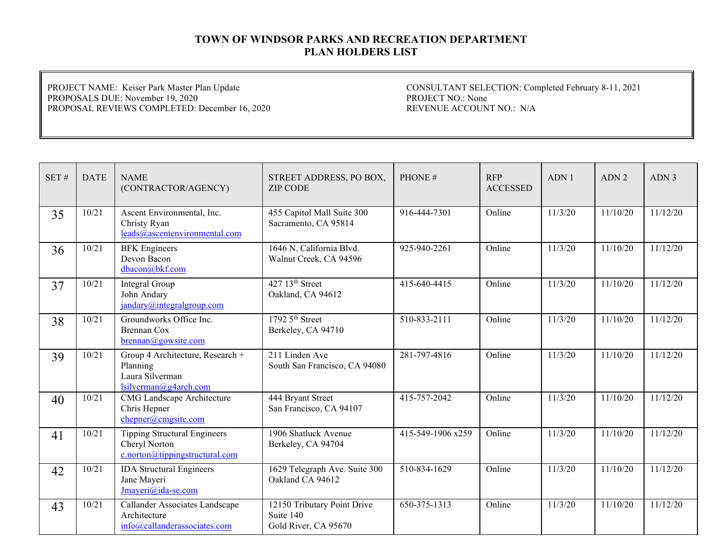PROJECT NAME: Keiser Park Master Plan Update PROPOSALS DUE: November 19, 2020 PROPOSAL REVIEWS COMPLETED: December 16, 2020

| SET# | <b>DATE</b> | <b>NAME</b>                                                                              | STREET ADDRESS, PO BOX,                                          | PHONE#            | <b>RFP</b>      | ADN1    | ADN <sub>2</sub>      | ADN <sub>3</sub> |
|------|-------------|------------------------------------------------------------------------------------------|------------------------------------------------------------------|-------------------|-----------------|---------|-----------------------|------------------|
|      |             | (CONTRACTOR/AGENCY)                                                                      | <b>ZIP CODE</b>                                                  |                   | <b>ACCESSED</b> |         |                       |                  |
| 35   | 10/21       | Ascent Environmental, Inc.<br>Christy Ryan<br>leads@ascentenvironmental.com              | 455 Capitol Mall Suite 300<br>Sacramento, CA 95814               | 916-444-7301      | Online          | 11/3/20 | 11/10/20              | 11/12/20         |
| 36   | 10/21       | <b>BFK</b> Engineers<br>Devon Bacon<br>dbacon@bkf.com                                    | 1646 N. California Blvd.<br>Walnut Creek, CA 94596               | 925-940-2261      | Online          | 11/3/20 | 11/10/20              | 11/12/20         |
| 37   | 10/21       | Integral Group<br>John Andary<br>jandary@integralgroup.com                               | 427 13 <sup>th</sup> Street<br>Oakland, CA 94612                 | 415-640-4415      | Online          | 11/3/20 | 11/10/20              | 11/12/20         |
| 38   | 10/21       | Groundworks Office Inc.<br><b>Brennan Cox</b><br>brennan@gowsite.com                     | $17925$ <sup>th</sup> Street<br>Berkeley, CA 94710               | 510-833-2111      | Online          | 11/3/20 | 11/10/20              | 11/12/20         |
| 39   | 10/21       | Group 4 Architecture, Research +<br>Planning<br>Laura Silverman<br>lsilverman@g4arch.com | 211 Linden Ave<br>South San Francisco, CA 94080                  | 281-797-4816      | Online          | 11/3/20 | 11/10/20              | 11/12/20         |
| 40   | 10/21       | CMG Landscape Architecture<br>Chris Hepner<br>chepner@cmgsite.com                        | 444 Bryant Street<br>San Francisco, CA 94107                     | 415-757-2042      | Online          | 11/3/20 | 11/10/20              | 11/12/20         |
| 41   | 10/21       | <b>Tipping Structural Engineers</b><br>Cheryl Norton<br>c.norton@tippingstructural.com   | 1906 Shatluck Avenue<br>Berkeley, CA 94704                       | 415-549-1906 x259 | Online          | 11/3/20 | $\frac{1}{11}{10/20}$ | 11/12/20         |
| 42   | 10/21       | <b>IDA</b> Structural Engineers<br>Jane Mayeri<br>Jmayeri@ida-se.com                     | 1629 Telegraph Ave. Suite 300<br>Oakland CA 94612                | 510-834-1629      | Online          | 11/3/20 | 11/10/20              | 11/12/20         |
| 43   | 10/21       | Callander Associates Landscape<br>Architecture<br>info@callanderassociates.com           | 12150 Tributary Point Drive<br>Suite 140<br>Gold River, CA 95670 | 650-375-1313      | Online          | 11/3/20 | 11/10/20              | 11/12/20         |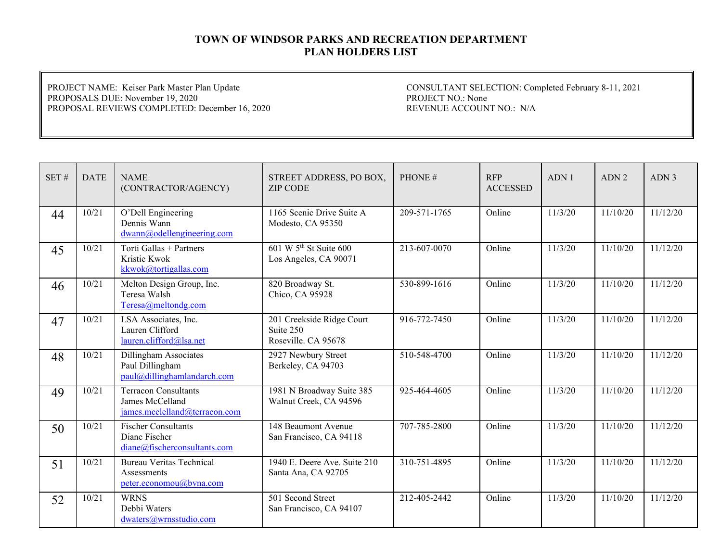PROJECT NAME: Keiser Park Master Plan Update PROPOSALS DUE: November 19, 2020 PROPOSAL REVIEWS COMPLETED: December 16, 2020

| SET# | <b>DATE</b> | <b>NAME</b><br>(CONTRACTOR/AGENCY)                                              | STREET ADDRESS, PO BOX,<br><b>ZIP CODE</b>                    | PHONE#       | <b>RFP</b><br><b>ACCESSED</b> | ADN 1   | ADN <sub>2</sub> | ADN <sub>3</sub> |
|------|-------------|---------------------------------------------------------------------------------|---------------------------------------------------------------|--------------|-------------------------------|---------|------------------|------------------|
| 44   | 10/21       | O'Dell Engineering<br>Dennis Wann<br>dwann@odellengineering.com                 | 1165 Scenic Drive Suite A<br>Modesto, CA 95350                | 209-571-1765 | Online                        | 11/3/20 | 11/10/20         | 11/12/20         |
| 45   | 10/21       | Torti Gallas + Partners<br>Kristie Kwok<br>kkwok@tortigallas.com                | 601 W 5 <sup>th</sup> St Suite 600<br>Los Angeles, CA 90071   | 213-607-0070 | Online                        | 11/3/20 | 11/10/20         | 11/12/20         |
| 46   | 10/21       | Melton Design Group, Inc.<br>Teresa Walsh<br>Teresa@meltondg.com                | 820 Broadway St.<br>Chico, CA 95928                           | 530-899-1616 | Online                        | 11/3/20 | 11/10/20         | 11/12/20         |
| 47   | 10/21       | LSA Associates, Inc.<br>Lauren Clifford<br>lauren.clifford@lsa.net              | 201 Creekside Ridge Court<br>Suite 250<br>Roseville. CA 95678 | 916-772-7450 | Online                        | 11/3/20 | 11/10/20         | 11/12/20         |
| 48   | 10/21       | Dillingham Associates<br>Paul Dillingham<br>paul@dillinghamlandarch.com         | 2927 Newbury Street<br>Berkeley, CA 94703                     | 510-548-4700 | Online                        | 11/3/20 | 11/10/20         | 11/12/20         |
| 49   | 10/21       | <b>Terracon Consultants</b><br>James McCelland<br>james.mcclelland@terracon.com | 1981 N Broadway Suite 385<br>Walnut Creek, CA 94596           | 925-464-4605 | Online                        | 11/3/20 | 11/10/20         | 11/12/20         |
| 50   | 10/21       | <b>Fischer Consultants</b><br>Diane Fischer<br>diane@fischerconsultants.com     | 148 Beaumont Avenue<br>San Francisco, CA 94118                | 707-785-2800 | Online                        | 11/3/20 | 11/10/20         | 11/12/20         |
| 51   | 10/21       | <b>Bureau Veritas Technical</b><br>Assessments<br>peter.economou@bvna.com       | 1940 E. Deere Ave. Suite 210<br>Santa Ana, CA 92705           | 310-751-4895 | Online                        | 11/3/20 | 11/10/20         | 11/12/20         |
| 52   | 10/21       | <b>WRNS</b><br>Debbi Waters<br>dwaters@wrnsstudio.com                           | 501 Second Street<br>San Francisco, CA 94107                  | 212-405-2442 | Online                        | 11/3/20 | 11/10/20         | 11/12/20         |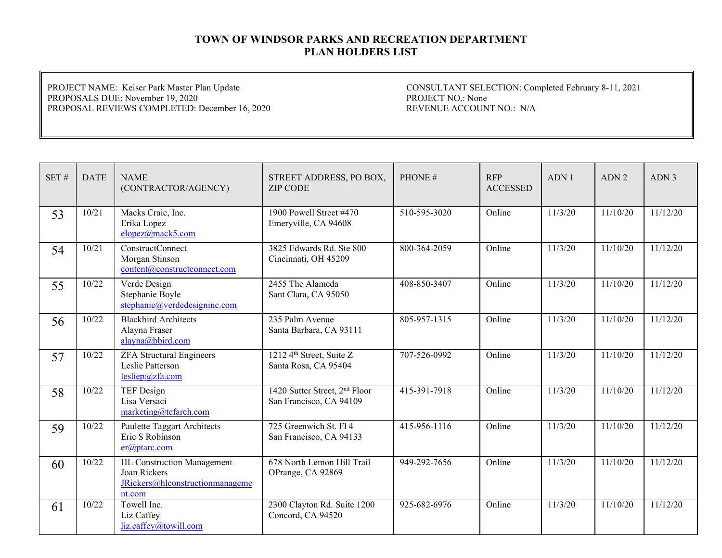PROJECT NAME: Keiser Park Master Plan Update PROPOSALS DUE: November 19, 2020 PROPOSAL REVIEWS COMPLETED: December 16, 2020

| SET# | <b>DATE</b> | <b>NAME</b><br>(CONTRACTOR/AGENCY)                                                      | STREET ADDRESS, PO BOX,<br><b>ZIP CODE</b>                           | PHONE#       | <b>RFP</b><br><b>ACCESSED</b> | ADN1    | ADN <sub>2</sub> | ADN <sub>3</sub> |
|------|-------------|-----------------------------------------------------------------------------------------|----------------------------------------------------------------------|--------------|-------------------------------|---------|------------------|------------------|
| 53   | 10/21       | Macks Craic, Inc.<br>Erika Lopez<br>elopez@mack5.com                                    | 1900 Powell Street #470<br>Emeryville, CA 94608                      | 510-595-3020 | Online                        | 11/3/20 | 11/10/20         | 11/12/20         |
| 54   | 10/21       | ConstructConnect<br>Morgan Stinson<br>content@constructconnect.com                      | 3825 Edwards Rd. Ste 800<br>Cincinnati, OH 45209                     | 800-364-2059 | Online                        | 11/3/20 | 11/10/20         | 11/12/20         |
| 55   | 10/22       | Verde Design<br>Stephanie Boyle<br>stephanie@verdedesigninc.com                         | 2455 The Alameda<br>Sant Clara, CA 95050                             | 408-850-3407 | Online                        | 11/3/20 | 11/10/20         | 11/12/20         |
| 56   | 10/22       | <b>Blackbird Architects</b><br>Alayna Fraser<br>alayna@bbird.com                        | 235 Palm Avenue<br>Santa Barbara, CA 93111                           | 805-957-1315 | Online                        | 11/3/20 | 11/10/20         | 11/12/20         |
| 57   | 10/22       | <b>ZFA Structural Engineers</b><br>Leslie Patterson<br>lesliep@zfa.com                  | 1212 4 <sup>th</sup> Street, Suite Z<br>Santa Rosa, CA 95404         | 707-526-0992 | Online                        | 11/3/20 | 11/10/20         | 11/12/20         |
| 58   | 10/22       | TEF Design<br>Lisa Versaci<br>marketing@tefarch.com                                     | 1420 Sutter Street, 2 <sup>nd</sup> Floor<br>San Francisco, CA 94109 | 415-391-7918 | Online                        | 11/3/20 | 11/10/20         | 11/12/20         |
| 59   | 10/22       | Paulette Taggart Architects<br>Eric S Robinson<br>$er(\omega)$ ptarc.com                | 725 Greenwich St. Fl 4<br>San Francisco, CA 94133                    | 415-956-1116 | Online                        | 11/3/20 | 11/10/20         | 11/12/20         |
| 60   | 10/22       | HL Construction Management<br>Joan Rickers<br>JRickers@hlconstructionmanageme<br>nt.com | 678 North Lemon Hill Trail<br>OPrange, CA 92869                      | 949-292-7656 | Online                        | 11/3/20 | 11/10/20         | 11/12/20         |
| 61   | 10/22       | Towell Inc.<br>Liz Caffey<br>liz.caffey@towill.com                                      | 2300 Clayton Rd. Suite 1200<br>Concord, CA 94520                     | 925-682-6976 | Online                        | 11/3/20 | 11/10/20         | 11/12/20         |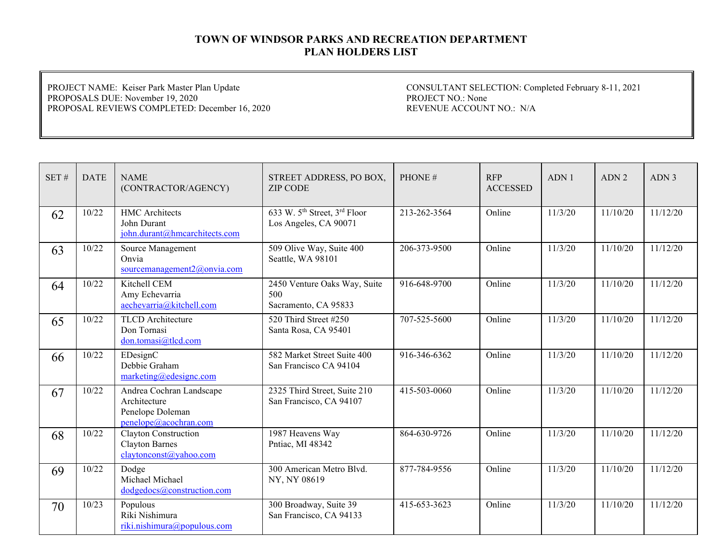PROJECT NAME: Keiser Park Master Plan Update PROPOSALS DUE: November 19, 2020 PROPOSAL REVIEWS COMPLETED: December 16, 2020

| SET# | <b>DATE</b> | <b>NAME</b><br>(CONTRACTOR/AGENCY)                                                    | STREET ADDRESS, PO BOX,<br><b>ZIP CODE</b>                                    | PHONE#       | <b>RFP</b><br><b>ACCESSED</b> | ADN1    | ADN <sub>2</sub> | ADN <sub>3</sub> |
|------|-------------|---------------------------------------------------------------------------------------|-------------------------------------------------------------------------------|--------------|-------------------------------|---------|------------------|------------------|
| 62   | 10/22       | <b>HMC</b> Architects<br>John Durant<br>john.durant@hmcarchitects.com                 | 633 W. 5 <sup>th</sup> Street, 3 <sup>rd</sup> Floor<br>Los Angeles, CA 90071 | 213-262-3564 | Online                        | 11/3/20 | 11/10/20         | 11/12/20         |
| 63   | 10/22       | Source Management<br>Onvia<br>sourcemanagement2@onvia.com                             | 509 Olive Way, Suite 400<br>Seattle, WA 98101                                 | 206-373-9500 | Online                        | 11/3/20 | 11/10/20         | 11/12/20         |
| 64   | 10/22       | Kitchell CEM<br>Amy Echevarria<br>aechevarria@kitchell.com                            | 2450 Venture Oaks Way, Suite<br>500<br>Sacramento, CA 95833                   | 916-648-9700 | Online                        | 11/3/20 | 11/10/20         | 11/12/20         |
| 65   | 10/22       | <b>TLCD</b> Architecture<br>Don Tornasi<br>don.tomasi@tlcd.com                        | 520 Third Street #250<br>Santa Rosa, CA 95401                                 | 707-525-5600 | Online                        | 11/3/20 | 11/10/20         | 11/12/20         |
| 66   | 10/22       | EDesignC<br>Debbie Graham<br>marketing@edesignc.com                                   | 582 Market Street Suite 400<br>San Francisco CA 94104                         | 916-346-6362 | Online                        | 11/3/20 | 11/10/20         | 11/12/20         |
| 67   | 10/22       | Andrea Cochran Landscape<br>Architecture<br>Penelope Doleman<br>penelope@acochran.com | 2325 Third Street, Suite 210<br>San Francisco, CA 94107                       | 415-503-0060 | Online                        | 11/3/20 | 11/10/20         | 11/12/20         |
| 68   | 10/22       | Clayton Construction<br><b>Clayton Barnes</b><br>claytonconst@yahoo.com               | 1987 Heavens Way<br>Pntiac, MI 48342                                          | 864-630-9726 | Online                        | 11/3/20 | 11/10/20         | 11/12/20         |
| 69   | 10/22       | Dodge<br>Michael Michael<br>dodgedocs@construction.com                                | 300 American Metro Blvd.<br>NY, NY 08619                                      | 877-784-9556 | Online                        | 11/3/20 | 11/10/20         | 11/12/20         |
| 70   | 10/23       | Populous<br>Riki Nishimura<br>riki.nishimura@populous.com                             | 300 Broadway, Suite 39<br>San Francisco, CA 94133                             | 415-653-3623 | Online                        | 11/3/20 | 11/10/20         | 11/12/20         |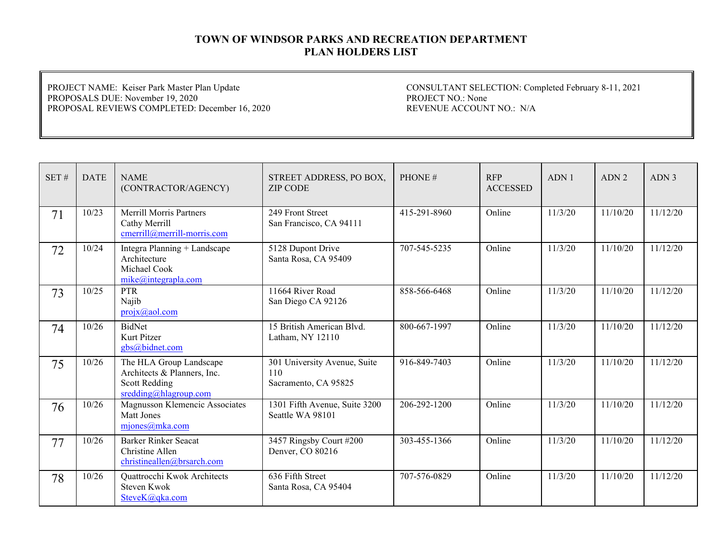PROJECT NAME: Keiser Park Master Plan Update PROPOSALS DUE: November 19, 2020 PROPOSAL REVIEWS COMPLETED: December 16, 2020

| SET# | <b>DATE</b> | <b>NAME</b><br>(CONTRACTOR/AGENCY)                                                                      | STREET ADDRESS, PO BOX,<br><b>ZIP CODE</b>                  | PHONE#       | <b>RFP</b><br><b>ACCESSED</b> | ADN <sub>1</sub> | ADN <sub>2</sub> | ADN 3    |
|------|-------------|---------------------------------------------------------------------------------------------------------|-------------------------------------------------------------|--------------|-------------------------------|------------------|------------------|----------|
| 71   | 10/23       | <b>Merrill Morris Partners</b><br>Cathy Merrill<br>cmerrill@merrill-morris.com                          | 249 Front Street<br>San Francisco, CA 94111                 | 415-291-8960 | Online                        | 11/3/20          | 11/10/20         | 11/12/20 |
| 72   | 10/24       | Integra Planning + Landscape<br>Architecture<br>Michael Cook<br>mike@integrapha.com                     | 5128 Dupont Drive<br>Santa Rosa, CA 95409                   | 707-545-5235 | Online                        | 11/3/20          | 11/10/20         | 11/12/20 |
| 73   | 10/25       | <b>PTR</b><br>Najib<br>$projx(a)$ aol.com                                                               | 11664 River Road<br>San Diego CA 92126                      | 858-566-6468 | Online                        | 11/3/20          | 11/10/20         | 11/12/20 |
| 74   | 10/26       | BidNet<br>Kurt Pitzer<br>gbs@bidnet.com                                                                 | 15 British American Blvd.<br>Latham, NY 12110               | 800-667-1997 | Online                        | 11/3/20          | 11/10/20         | 11/12/20 |
| 75   | 10/26       | The HLA Group Landscape<br>Architects & Planners, Inc.<br><b>Scott Redding</b><br>sredding@hlagroup.com | 301 University Avenue, Suite<br>110<br>Sacramento, CA 95825 | 916-849-7403 | Online                        | 11/3/20          | 11/10/20         | 11/12/20 |
| 76   | 10/26       | Magnusson Klemencic Associates<br>Matt Jones<br>mjones@mka.com                                          | 1301 Fifth Avenue, Suite 3200<br>Seattle WA 98101           | 206-292-1200 | Online                        | 11/3/20          | 11/10/20         | 11/12/20 |
| 77   | 10/26       | <b>Barker Rinker Seacat</b><br>Christine Allen<br>christineallen@brsarch.com                            | 3457 Ringsby Court #200<br>Denver, CO 80216                 | 303-455-1366 | Online                        | 11/3/20          | 11/10/20         | 11/12/20 |
| 78   | 10/26       | Quattrocchi Kwok Architects<br><b>Steven Kwok</b><br>SteveK@qka.com                                     | 636 Fifth Street<br>Santa Rosa, CA 95404                    | 707-576-0829 | Online                        | 11/3/20          | 11/10/20         | 11/12/20 |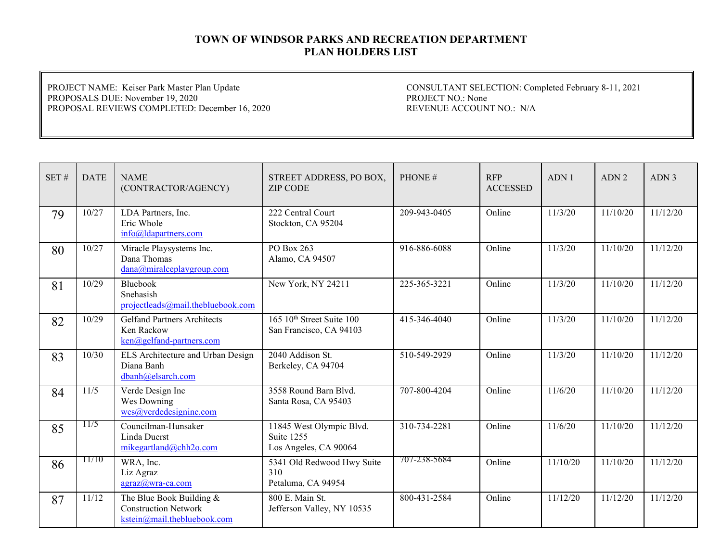PROJECT NAME: Keiser Park Master Plan Update PROPOSALS DUE: November 19, 2020 PROPOSAL REVIEWS COMPLETED: December 16, 2020

| SET# | <b>DATE</b> | <b>NAME</b><br>(CONTRACTOR/AGENCY)                                                     | STREET ADDRESS, PO BOX,<br><b>ZIP CODE</b>                            | PHONE#       | <b>RFP</b><br><b>ACCESSED</b> | ADN 1    | ADN <sub>2</sub> | ADN <sub>3</sub> |
|------|-------------|----------------------------------------------------------------------------------------|-----------------------------------------------------------------------|--------------|-------------------------------|----------|------------------|------------------|
| 79   | 10/27       | LDA Partners, Inc.<br>Eric Whole<br>$info@$ ldapartners.com                            | 222 Central Court<br>Stockton, CA 95204                               | 209-943-0405 | Online                        | 11/3/20  | 11/10/20         | 11/12/20         |
| 80   | 10/27       | Miracle Playsystems Inc.<br>Dana Thomas<br>dana@miralceplaygroup.com                   | PO Box 263<br>Alamo, CA 94507                                         | 916-886-6088 | Online                        | 11/3/20  | 11/10/20         | 11/12/20         |
| 81   | 10/29       | Bluebook<br>Snehasish<br>projectleads@mail.thebluebook.com                             | New York, NY 24211                                                    | 225-365-3221 | Online                        | 11/3/20  | 11/10/20         | 11/12/20         |
| 82   | 10/29       | <b>Gelfand Partners Architects</b><br>Ken Rackow<br>ken@gelfand-partners.com           | $165 \; 10$ <sup>th</sup> Street Suite 100<br>San Francisco, CA 94103 | 415-346-4040 | Online                        | 11/3/20  | 11/10/20         | 11/12/20         |
| 83   | 10/30       | ELS Architecture and Urban Design<br>Diana Banh<br>dbanh@elsarch.com                   | 2040 Addison St.<br>Berkeley, CA 94704                                | 510-549-2929 | Online                        | 11/3/20  | 11/10/20         | 11/12/20         |
| 84   | 11/5        | Verde Design Inc<br>Wes Downing<br>wes@verdedesigninc.com                              | 3558 Round Barn Blvd.<br>Santa Rosa, CA 95403                         | 707-800-4204 | Online                        | 11/6/20  | 11/10/20         | 11/12/20         |
| 85   | 11/5        | Councilman-Hunsaker<br>Linda Duerst<br>mikegartland@chh2o.com                          | 11845 West Olympic Blvd.<br>Suite 1255<br>Los Angeles, CA 90064       | 310-734-2281 | Online                        | 11/6/20  | 11/10/20         | 11/12/20         |
| 86   | 11/10       | WRA, Inc.<br>Liz Agraz<br>agraz@wra-ca.com                                             | 5341 Old Redwood Hwy Suite<br>310<br>Petaluma, CA 94954               | 707-238-5684 | Online                        | 11/10/20 | 11/10/20         | 11/12/20         |
| 87   | 11/12       | The Blue Book Building &<br><b>Construction Network</b><br>kstein@mail.thebluebook.com | 800 E. Main St.<br>Jefferson Valley, NY 10535                         | 800-431-2584 | Online                        | 11/12/20 | 11/12/20         | 11/12/20         |